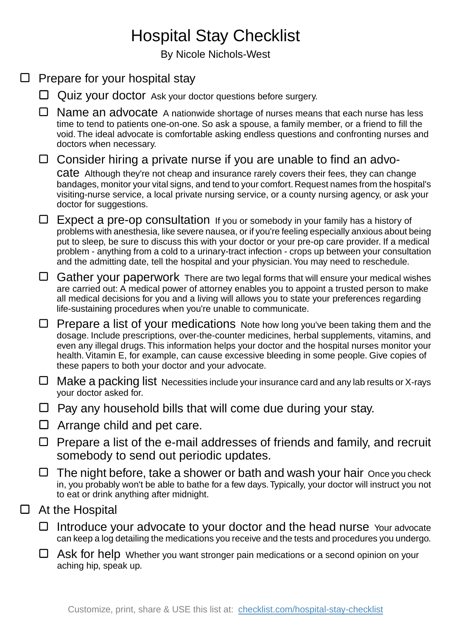## Hospital Stay Checklist

By Nicole Nichols-West

|   | Prepare for your hospital stay |                                                                                                                                                                                                                                                                                                                                                                                                                                                                                            |
|---|--------------------------------|--------------------------------------------------------------------------------------------------------------------------------------------------------------------------------------------------------------------------------------------------------------------------------------------------------------------------------------------------------------------------------------------------------------------------------------------------------------------------------------------|
|   |                                | Quiz your doctor Ask your doctor questions before surgery.                                                                                                                                                                                                                                                                                                                                                                                                                                 |
|   | □                              | Name an advocate A nationwide shortage of nurses means that each nurse has less<br>time to tend to patients one-on-one. So ask a spouse, a family member, or a friend to fill the<br>void. The ideal advocate is comfortable asking endless questions and confronting nurses and<br>doctors when necessary.                                                                                                                                                                                |
|   | $\Box$                         | Consider hiring a private nurse if you are unable to find an advo-                                                                                                                                                                                                                                                                                                                                                                                                                         |
|   |                                | Cate Although they're not cheap and insurance rarely covers their fees, they can change<br>bandages, monitor your vital signs, and tend to your comfort. Request names from the hospital's<br>visiting-nurse service, a local private nursing service, or a county nursing agency, or ask your<br>doctor for suggestions.                                                                                                                                                                  |
|   | ⊔                              | Expect a pre-op consultation If you or somebody in your family has a history of<br>problems with anesthesia, like severe nausea, or if you're feeling especially anxious about being<br>put to sleep, be sure to discuss this with your doctor or your pre-op care provider. If a medical<br>problem - anything from a cold to a urinary-tract infection - crops up between your consultation<br>and the admitting date, tell the hospital and your physician. You may need to reschedule. |
|   | $\Box$                         | Gather your paperwork There are two legal forms that will ensure your medical wishes<br>are carried out: A medical power of attorney enables you to appoint a trusted person to make<br>all medical decisions for you and a living will allows you to state your preferences regarding<br>life-sustaining procedures when you're unable to communicate.                                                                                                                                    |
|   | ⊔                              | Prepare a list of your medications Note how long you've been taking them and the<br>dosage. Include prescriptions, over-the-counter medicines, herbal supplements, vitamins, and<br>even any illegal drugs. This information helps your doctor and the hospital nurses monitor your<br>health. Vitamin E, for example, can cause excessive bleeding in some people. Give copies of<br>these papers to both your doctor and your advocate.                                                  |
|   | ⊔                              | Make a packing list Necessities include your insurance card and any lab results or X-rays<br>your doctor asked for.                                                                                                                                                                                                                                                                                                                                                                        |
|   |                                | Pay any household bills that will come due during your stay.                                                                                                                                                                                                                                                                                                                                                                                                                               |
|   |                                | Arrange child and pet care.                                                                                                                                                                                                                                                                                                                                                                                                                                                                |
|   | ⊔                              | Prepare a list of the e-mail addresses of friends and family, and recruit<br>somebody to send out periodic updates.                                                                                                                                                                                                                                                                                                                                                                        |
|   | ⊔                              | The night before, take a shower or bath and wash your hair Once you check<br>in, you probably won't be able to bathe for a few days. Typically, your doctor will instruct you not<br>to eat or drink anything after midnight.                                                                                                                                                                                                                                                              |
| ⊔ | At the Hospital                |                                                                                                                                                                                                                                                                                                                                                                                                                                                                                            |
|   | ⊔                              | Introduce your advocate to your doctor and the head nurse Your advocate<br>can keep a log detailing the medications you receive and the tests and procedures you undergo.                                                                                                                                                                                                                                                                                                                  |
|   | ⊔                              | Ask for help Whether you want stronger pain medications or a second opinion on your<br>aching hip, speak up.                                                                                                                                                                                                                                                                                                                                                                               |